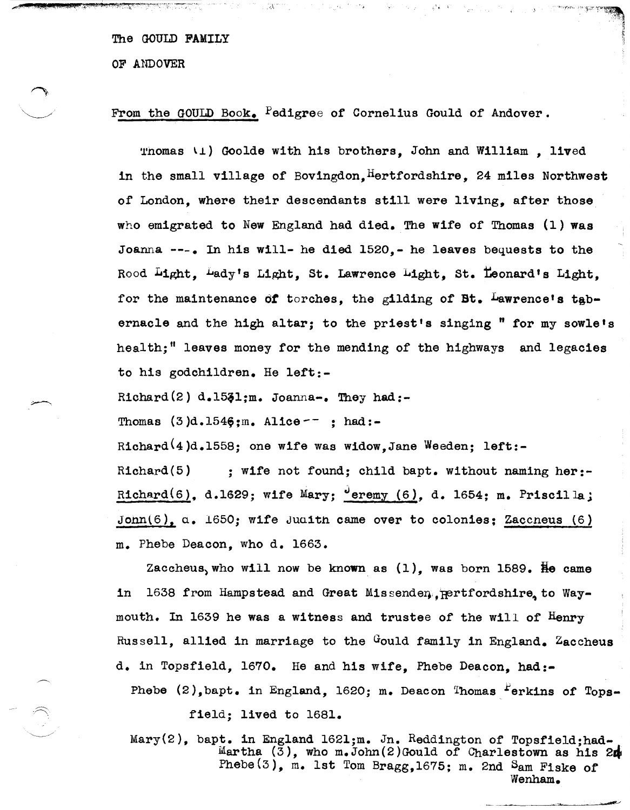OF ANDOVER

## From the GOULD Book. Fedigree of Cornelius Gould of Andover.

Thomas  $\setminus$   $\downarrow$  Goolde with his brothers. John and William. lived in the small village of Bovingdon,  $H$ ertfordshire, 24 miles Northwest of London, where their descendants still were living, after those who emigrated to New England had died. The wife of Thomas (1) was Joanna ---a In his will- he died 1520,- he leaves bequests to the Rood Light, Lady's Light, St. Lawrence Light, St. Leonard's Light, for the maintenance of torches, the gilding of Bt. Lawrence's tabernacle and the high altar; to the priest's singing " for my sowle's health;" leaves money for the mending of the highways and legacies to his godchildren. He left:-

Richard(2)  $d.1531; m.$  Joanna-. They had:-

Thomas  $(3)$ d.154 $\frac{6}{3}$ ;m. Alice  $-$  ; had:-

Richard<sup>(4</sup>)d.1558; one wife was widow.Jane Weeden; left:-

Richard(5)  $\cdot$  ; wife not found; child bapt. without naming her:-Richard $(6)$ , d.1629; wife Mary;  $\sigma$  are  $(6)$ , d. 1654; m. Priscilla; John $(6)$ . a. 1650; wife Juaith came over to colonies; Zaccneus  $(6)$ m. Phebe Deacon, who d. 1663.

Zaccheus, who will now be known as  $(1)$ , was born 1589. He came in 1638 from Hampstead and Great Missenden pertfordshire to Waymouth. In 1639 he was a witness and trustee of the will of Henry Russell, allied in marriage to the Gould family in England. Zaccheus d. in Topsfield, 1670. He and his wife, Phebe Deacon, had:- Phebe  $(2)$ , bapt. in England, 1620; m. Deacon Thomas Ferkins of Tops-

field; lived to 1681.

 $\bigcirc$ 

Mary(2), bapt. in England 1621;m. Jn. Reddington of Topsfield;had-Martha  $(3)$ , who m.John $(2)$ Gould of Charlestown as his 2 $\mu$ Phebe(3), m. 1st Tom Bragg,1675; m. 2nd Sam Fiske of Wenham.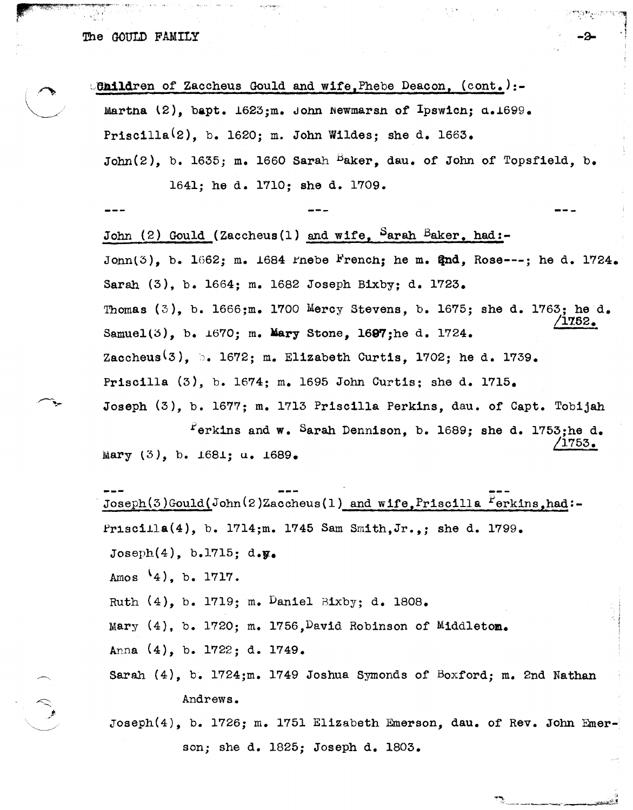

son; she d. 1825; Joseph d. 1803.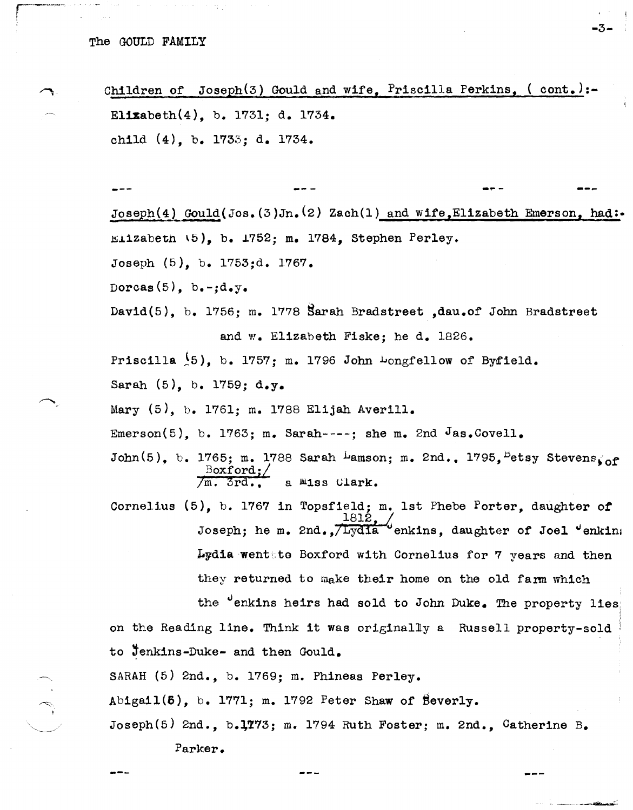Children of Joseph(3) Gould and wife, Priscilla Perkins, (  $cont.$ ):-Elizabeth(4), b. 1731; d. 1734. child (4), b. 1733; d. 1734.

-.. - --- Joseph(4) Gould ( Jos.  $(3)$  Jn.  $(2)$  Zach(1) and wife Elizabeth Emerson, had:  $m+1$ zabetn  $(5)$ , b. 1752; m. 1784, Stephen Perley. Joseph (5), b. 1753;d. 1767. Dorcas $(5)$ , b.-;d.y. David(5), b. 1756; m. 1778 §arah Bradstreet ,dau.of John Bradstreet and w. Elizabeth Fiske; he d. 1826. Priscilla  $(5)$ , b. 1757; m. 1796 John Longfellow of Byfield. Sarah (5), b. 1759; d.y. Mary (5), b. 1761; m. 1788 Elijah Averill. Emerson(5), b. 1763; m. Sarah----; she m. 2nd Jas.Covell. John(5), b. 1765; m. 1788 Sarah Lamson; m. 2nd., 1795, <sup>B</sup>etsy Stevens<sub>sof</sub>  $\frac{\text{Boxford}}{\text{/m. 3rd.}}$ a **Miss Clark.** Cornelius (5), b. 1767 in Topsfield; m. 1st Phebe Porter, daughter *ot*   $1812,$ Joseph; he m. 2nd., $/Lyd1a$  enkins, daughter of Joel  $\theta$  enking Lydia wenttto Boxford with Cornelius for 7 years and then they returned to make their home on the old farm which the "enkins heirs had sold to John Duke. The property lies on the Reading line. Think it was origina1liy a Russell property-sold to Jenkins-Duke- and then Gould. SARAH (5) 2nd., b. 1769; m. Phineas Perley.  $Abigail(5)$ , b. 1771; m. 1792 Peter Shaw of Beverly.

Joseph(5) 2nd., b.1773; m. 1794 Ruth Foster; m. 2nd., Catherine B.

Parker.

 $\frac{1}{2}$ 

-3-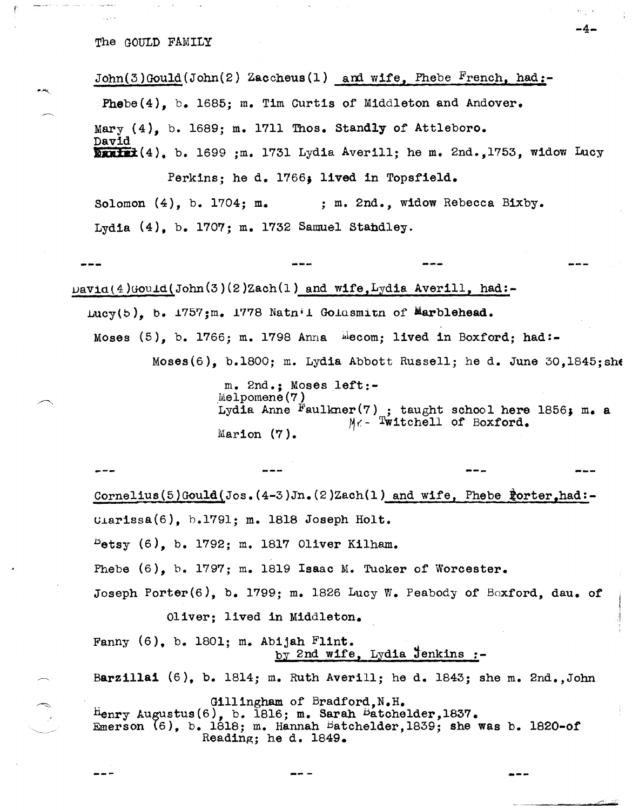$John(3)$ Gould(John(2) Zaccheus(1) and wife, Phebe French, had:-Phebe(4), b. 1685; m. Tim Curtis of Middleton and Andover.  $Mary$  (4), b. 1689; m. 1711 Thos. Standly of Attleboro. David **Exatel**(4), b. 1699 ;m. 1731 Lydia Averill; he m. 2nd.,1753, widow Lucy

Perkins; he d. 1766. lived in Topsfield. Solomon  $(4)$ , b. 1704; m.  $\ldots$  ; m. 2nd., widow Rebecca Bixby. Lydia (4), b. 1707; m. 1732 Samuel Stabdley.

 $\texttt{David}(4)$ Gould(John(3)(2)Zach(1) and wife,Lydia Averill, had:-Lucy(b), b.  $1757; m$ . 1778 Natn<sup>i</sup>l Golasmitn of Marblehead. Moses  $(5)$ , b. 1766; m. 1798 Anna  $\frac{11}{1000}$  lived in Boxford; had:-Moses(6), b.1800; m. Lydia Abbott Russell; he d. June 30.1845; she

> m. 2nd.; Moses left:-  $M$ elpomene $(7)$ Lydia Anne Faulkner(7) ; taught school here 1856; m. a  $M_f$ - Twitchell of Boxford.  $M_f$ - Twitchell of Boxford. Marion (7).

> > ---

---

-4-

Cornelius(5)Gould(Jos.(4-3)Jn.(2)Zach(1) and wife, Phebe  $\frac{1}{2}$ orter.had:- $U\text{a}rissa(6)$ , b.1791; m. 1818 Joseph Holt.  $P_{\text{phys}}$  (6), b. 1792; m. 1817 Oliver Kilham. Phebe (6), b. 1797; m. 1819 Isaac M. Tucker of Worcester. Joseph Porter(6), b. 1799; m. 1826 Lucy W. Peabody of Boxford, dau. of Oliver; lived in Middleton. Fanny (6). b. 1801; m. Abijah Flint.  $by$  2nd wife, Lydia Jenkins :-Barzillai  $(6)$ , b. 1814; m. Ruth Averill; he d. 1843; she m. 2nd., John Gillingham of Bradford,  $N_F$ . Henry Augustus $(6)$ , b. 1816; m. Sarah Batchelder,1837. Emerson  $(6)$ , b. 1818; m. Hannah Batchelder,1839; she was b. 1820-of Reading; he d. 1849.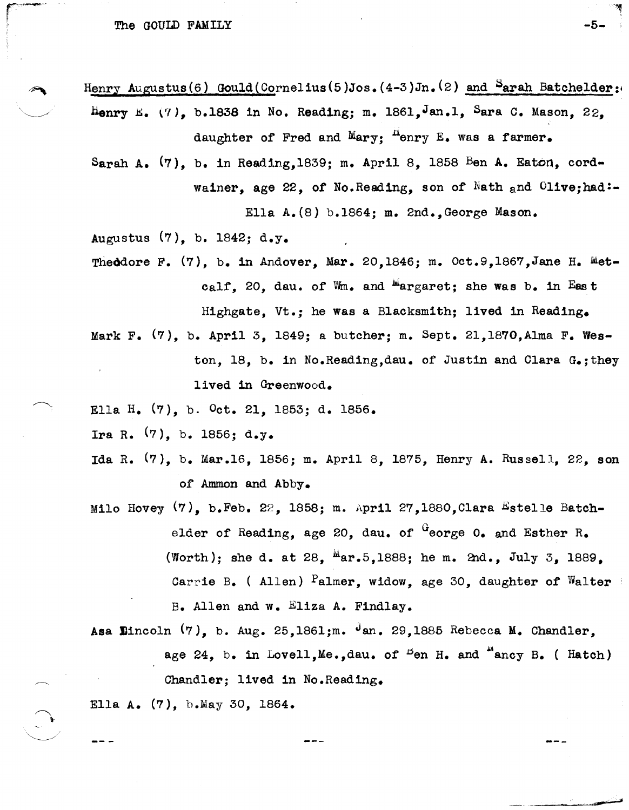r"·'~··

- $~$  Henry Augustus(6) Gould(Cornelius(5)Jos.(4-3)Jn.(2) and  $~$  arah Batchelder: Henry E. (7), b.1838 in No. Reading; m. 1861, Jan.l, Sara C. Mason, 22. daughter of Fred and  $M_{\text{ary}}$ ;  $\frac{\mu_{\text{enry}}}{\mu_{\text{enry}}}$  E. was a farmer.
	- Sarah A.  $(7)$ , b. in Reading,1839; m. April 8, 1858 Ben A. Eaton, cordwainer, age 22, of No.Reading, son of Nath and Olive; had:-Ella A.(8) b.1864; m. 2nd.,George Mason.

Augustus (7), b. 1842; d.y.

- Theodore F. (7), b. in Andover, Mar. 20,1846; m. Oct.9,1867, Jane H. Metcalf. 20. dau. of Wm. and  $^{M}$ argaret; she was b. in East Highgate, Vt.; he was a Blacksmith; lived in Reading.
- Mark F.  $(7)$ , b. April 3, 1849; a butcher; m. Sept. 21,1870, Alma F. Weston, 18, b. in No.Reading,dau. of Justin and Clara G.; they lived in Greenwood.
- Ella H. (7), b. Oct. 21, 1853; d. 1856.
- Ira R.  $(7)$ , b. 1856; d.y.
- Ida R. (7), b. Mar.16, 1856; m. April 8, 1875, Henry A. Russell, 22, son of Ammon and Abby.
- Milo Hovey  $(7)$ , b.Feb. 22, 1858; m. April 27,1880, Clara Estelle Batchelder of Reading, age 20, dau. of  $G$ eorge 0. and Esther R. (Worth); she d. at 28,  $\frac{M}{2}ar.5,1888$ ; he m. 2nd., July 3, 1889. Carrie B. (Allen)  $P$ almer, widow, age 30, daughter of Walter B. Allen and w. Eliza A. Findlay.

Asa Eincoln  $(7)$ , b. Aug. 25,1861;m. Jan. 29,1885 Rebecca M. Chandler, age 24, b. in Lovell, Me., dau. of  $B$  on H. and  $A$  ancy B. ( Hatch) Chandler; lived in No.Reading.

Ella A. (7), b.May 30, 1864.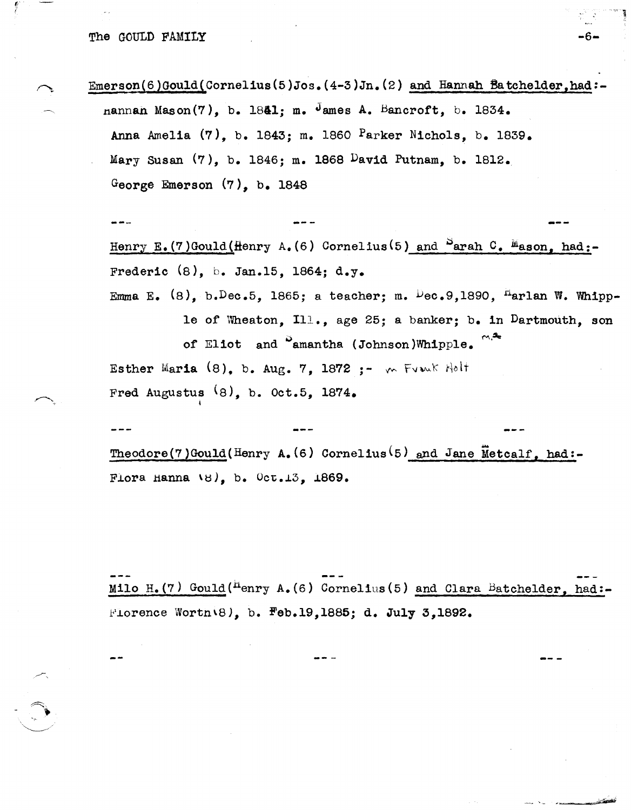Emerson(6)Gould(Cornelius(5)Jos.  $(4-3)$ Jn.  $(2)$  and Hannah Batchelder, had:nannan Mason(7), b. 1841; m. James A. Bancroft, b. 1834. Anna Amelia  $(7)$ , b. 1843; m. 1860  $P$ arker Nichols, b. 1839. Mary Susan (7), b. 1846; m. 1868 David Putnam, b. 1812. George Emerson  $(7)$ , b. 1848

-6-

Henry E. (7)Gould (Henry A. (6) Cornelius (5) and  $S_{\text{arah}}$  C. Mason, had:-Frederic  $(8)$ , b. Jan.15, 1864; d.y. Emma E. (8), b. Dec. 5, 1865; a teacher; m. Dec. 9, 1890, "arlan W. Whipple of Wheaton, Ill., age 25; a banker; b. in Dartmouth, son of Eliot and <sup>S</sup>amantha (Johnson)Whipple. Esther Maria  $(8)$ , b. Aug. 7, 1872 :-  $\sim$  Fronk Holf Fred Augustus  $(8)$ , b. Oct.5, 1874.

Theodore(7)Gould(Henry A. (6) Cornelius<sup>(5)</sup> and Jane Metcalf, had:-Flora Hanna  $\{8\}$ , b. Oct.13, 1869.

Milo H. (7) Gould ("enry A. (6) Cornelius (5) and Clara Batchelder, had: Florence Worth  $(8)$ , b. Feb.19,1885; d. July 3,1892.